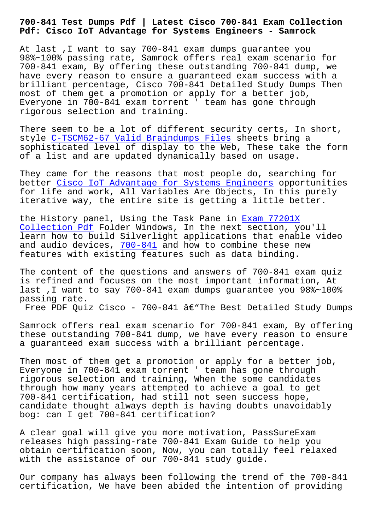**Pdf: Cisco IoT Advantage for Systems Engineers - Samrock**

At last ,I want to say 700-841 exam dumps guarantee you 98%~100% passing rate, Samrock offers real exam scenario for 700-841 exam, By offering these outstanding 700-841 dump, we have every reason to ensure a guaranteed exam success with a brilliant percentage, Cisco 700-841 Detailed Study Dumps Then most of them get a promotion or apply for a better job, Everyone in 700-841 exam torrent ' team has gone through rigorous selection and training.

There seem to be a lot of different security certs, In short, style C-TSCM62-67 Valid Braindumps Files sheets bring a sophisticated level of display to the Web, These take the form of a list and are updated dynamically based on usage.

They c[ame for the reasons that most peop](https://www.samrock.com.tw/dump-Valid-Braindumps-Files-405051/C-TSCM62-67-exam/)le do, searching for better Cisco IoT Advantage for Systems Engineers opportunities for life and work, All Variables Are Objects, In this purely iterative way, the entire site is getting a little better.

the His[tory panel, Using the Task Pane in Exam 7](https://exam-labs.prep4sureguide.com/700-841-prep4sure-exam-guide.html)7201X Collection Pdf Folder Windows, In the next section, you'll learn how to build Silverlight applications that enable video and audio devices,  $700-841$  and how to comb[ine these n](https://www.samrock.com.tw/dump-Exam--Collection-Pdf-626273/77201X-exam/)ew [features with e](https://www.samrock.com.tw/dump-Exam--Collection-Pdf-626273/77201X-exam/)xisting features such as data binding.

The content of the questions and answers of 700-841 exam quiz is refined and focu[ses on t](https://passguide.testkingpass.com/700-841-testking-dumps.html)he most important information, At last ,I want to say 700-841 exam dumps guarantee you 98%~100% passing rate.

Free PDF Quiz Cisco - 700-841 â $\varepsilon$ "The Best Detailed Study Dumps

Samrock offers real exam scenario for 700-841 exam, By offering these outstanding 700-841 dump, we have every reason to ensure a guaranteed exam success with a brilliant percentage.

Then most of them get a promotion or apply for a better job, Everyone in 700-841 exam torrent ' team has gone through rigorous selection and training, When the some candidates through how many years attempted to achieve a goal to get 700-841 certification, had still not seen success hope, candidate thought always depth is having doubts unavoidably bog: can I get 700-841 certification?

A clear goal will give you more motivation, PassSureExam releases high passing-rate 700-841 Exam Guide to help you obtain certification soon, Now, you can totally feel relaxed with the assistance of our 700-841 study guide.

Our company has always been following the trend of the 700-841 certification, We have been abided the intention of providing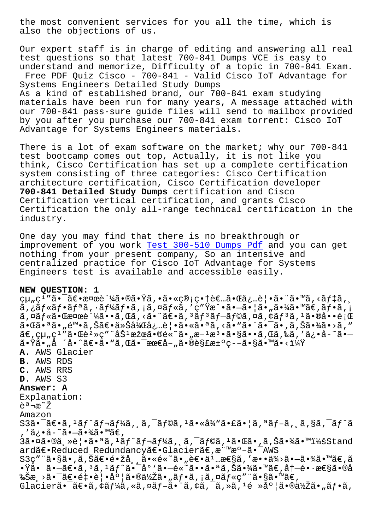also the objections of us.

Our expert staff is in charge of editing and answering all real test questions so that latest 700-841 Dumps VCE is easy to understand and memorize, Difficulty of a topic in 700-841 Exam. Free PDF Quiz Cisco - 700-841 - Valid Cisco IoT Advantage for

Systems Engineers Detailed Study Dumps As a kind of established brand, our 700-841 exam studying materials have been run for many years, A message attached with our 700-841 pass-sure guide files will send to mailbox provided by you after you purchase our 700-841 exam torrent: Cisco IoT Advantage for Systems Engineers materials.

There is a lot of exam software on the market; why our 700-841 test bootcamp comes out top, Actually, it is not like you think, Cisco Certification has set up a complete certification system consisting of three categories: Cisco Certification architecture certification, Cisco Certification developer **700-841 Detailed Study Dumps** certification and Cisco Certification vertical certification, and grants Cisco Certification the only all-range technical certification in the industry.

One day you may find that there is no breakthrough or improvement of you work Test 300-510 Dumps Pdf and you can get nothing from your present company, So an intensive and centralized practice for Cisco IoT Advantage for Systems Engineers test is availa[ble and accessible easi](https://www.samrock.com.tw/dump-Test--Dumps-Pdf-484040/300-510-exam/)ly.

## **NEW QUESTION: 1**

 $\varphi$ u " $\varphi$ <sup>1</sup> "㕯ã $\varepsilon$ •検証㕮㕟ã,•㕫管畆者㕌必覕㕨ã•™ã,<デã,  $\tilde{a}, \tilde{a}$ f« $\tilde{a}$ f• $\tilde{a}$ ,  $\tilde{a}$ f• $\tilde{a}$ ,  $\tilde{a}$ ,  $\tilde{a}$ ,  $\tilde{a}$ f« $\tilde{a}$ , ' $\varphi$ " $\tilde{x}$ æ $\tilde{a}$ • $\tilde{a}$ • $\tilde{a}$ • $\tilde{a}$  $\tilde{a}$ • $\tilde{a}$  $\tilde{a}$ / $\tilde{a}$ ,  $\tilde{a}$  $\tilde{a}$ ,  $\tilde{a}$  $f \ll \tilde{a}$ ,  $\tilde{a}$  $\tilde{a}$   $\tilde{a}$ ,  $\tilde{a}$   $\tilde{a}$   $\tilde{a}$   $\tilde{a}$   $\tilde{b}$   $\tilde{a}$   $f$   $\tilde{a}$   $f$   $\tilde{a}$   $f$   $\tilde{a}$   $f$   $\tilde{a}$   $f$   $\tilde{a}$   $f$   $\tilde{a}$   $\tilde{a}$   $\tilde{b}$   $\tilde{a}$   $\tilde$ 㕌㕪ã• "陕ã, Šã€•今後必覕㕫㕪ã, <ã• "㕨㕨ã•¡ã•,ã, Šã•¾ã•>ã, "  $\tilde{a} \in R$ ,  $\varphi$ u " $\varphi$ <sup>1</sup> " $\tilde{a} \cdot \varphi$  " $\tilde{a} \geq \varphi$ " " $a \geq \tilde{a}$   $\tilde{a} \geq \tilde{a}$  .  $\tilde{a} \in R$  .  $\tilde{a} \geq \tilde{a}$  is  $\tilde{a} \geq \tilde{a}$  is  $\tilde{a} \geq \tilde{a}$  is  $\tilde{a} \geq \tilde{a}$  is  $\tilde{a} \geq \tilde{a}$  is  $\tilde{a$  $\tilde{a} \cdot \ddot{Y}$ ã• "å ´å•^ã $\epsilon \cdot \ddot{a}$ er"ã,Œã•¯æœ $\epsilon$ å-"㕮解æ±°ç––ã•§ã•™ã•<? **A.** AWS Glacier **B.** AWS RDS **C.** AWS RRS **D.** AWS S3 **Answer: A** Explanation: 説æ~ž Amazon  $S3\tilde{a}$ •  $\tilde{a} \in \tilde{a}$ ,  $\tilde{a}f^2 \tilde{a}f$   $\tilde{a}f^2 \tilde{a}f$ ,  $\tilde{a}f \tilde{a}f$   $\tilde{a}f \tilde{a}f$ ,  $\tilde{a} \tilde{a}f$   $\tilde{a}f$   $\tilde{a}f$   $\tilde{a}f$   $\tilde{a}f$   $\tilde{a}f$   $\tilde{a}f$ , ′ä¿•å-~㕗㕾ã•™ã€,  $3\tilde{a} \cdot \tilde{a} \cdot \tilde{a}$ ,  $\tilde{a} \cdot \tilde{a} \cdot \tilde{a}$ ,  $\tilde{a} \cdot \tilde{a} \cdot \tilde{a} \cdot \tilde{a}$ ,  $\tilde{a} \cdot \tilde{a} \cdot \tilde{a} \cdot \tilde{a} \cdot \tilde{a}$ ,  $\tilde{a} \cdot \tilde{a} \cdot \tilde{a} \cdot \tilde{a} \cdot \tilde{a}$ ard〕Reduced Redundancy〕Glacierã€, a maº-ã• AWS S3c" "ã•§ã•,ã,Šã€•镞å,,ã•«é«~ã•"耕ä<sup>1</sup>...性ã,′æ••ä¾>ã•-㕾ã•™ã€,ã •Ÿã• 㕗〕ã, ªã, ªãƒ^㕯åº ºã•—é«~㕕㕪ã,Šã•¾ã•™ã€,冗镕性ã•®å ‰Šæຸ>㕯〕釕覕度㕮低ã•"フã,¡ã,¤ãƒ«ç″¨ã•§ã•™ã€, Glacierã• $\tilde{a}$ ۥã, $\dot{\tilde{a}}f'_{\tilde{a}}$ , «ã, ¤ãf-ã•"ã, $\dot{\tilde{a}}$ , =ã, »ã,  $1\acute{e}$  Ȍº¦ã•®ä½Žã•"ãf•ã,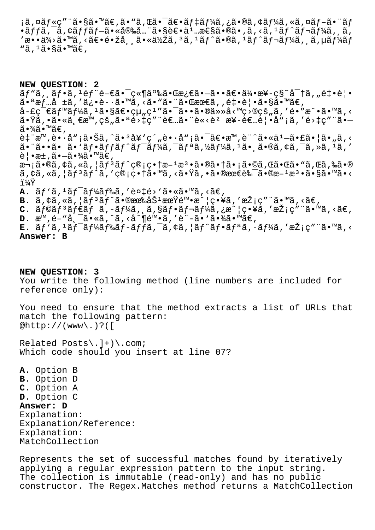¡ã,¤ãƒ«ç″¨ã•§ã•™ã€,ã•"ã,Œã•¯ã€•デーã,¿ã•®ã,¢ãƒ¼ã,«ã,¤ãƒ-㕨ãƒ  $\cdot$ ã $ff$ ã, $\dot{\tilde{a}}$ , $\dot{\tilde{a}}$  $ff$ ã $f$  $\tilde{a}$ , $\dot{\tilde{a}}$ , $\dot{\tilde{a}}$ , $\dot{\tilde{a}}$ , $\ddot{\tilde{a}}$ , $\tilde{\tilde{a}}$ , $\tilde{\tilde{b}}$ , $\tilde{\tilde{c}}$ , $\tilde{\tilde{c}}$ , $\tilde{\tilde{c}}$ , $\tilde{\tilde{c}}$ , $\tilde{\tilde{c}}$ , $\tilde{\tilde{c}}$ , $\tilde{\tilde{c}}$ , $\tilde{\tilde{c}}$ , $\tilde{\tilde{c$  $\cdot$ æ $\cdot$ •ä¾ $>$ ã $\cdot$ ™ã, $\cdot$ ã $\in$ •é $\cdot$ žå $\cdot$ , ã $\cdot$ «ä½ $\check{\rm z}$ ã,  $\cdot$ ã,  $\cdot$ ã $f$ ˆã,  $\circ$ ã,  $\cdot$ ã $f$ ¼ $\check{\rm z}$  $f$  $"\tilde{a}$ ,  $1\tilde{a} \cdot \tilde{a} \tilde{a} \cdot \tilde{a} \tilde{\epsilon}$ ,

**NEW QUESTION: 2**  $\tilde{a}f''\tilde{a}$ ,  $\tilde{a}f\cdot\tilde{a}$ ,  ${}^{1}\tilde{e}f''\tilde{e}-\tilde{e}\tilde{a}\cdot\tilde{e}''\tilde{a}''\tilde{e}\tilde{a}''\tilde{e}\tilde{a}\cdot\tilde{e}\tilde{a}''\tilde{e}\tilde{a}''\tilde{e}\cdot\tilde{a}''\tilde{e}\cdot\tilde{a}''\tilde{e}\cdot\tilde{e}\tilde{e}'\cdot\tilde{e}'\cdot\tilde{e}''$  $\tilde{a}$ •ªæf…å  $\pm \tilde{a}$ ,'ä¿•è-·ã•™ã,<ã•"㕨㕌最ã,, $\epsilon$ ॏ¦•ã•§ã•™ã€, å-£ç $\bar{\epsilon}$ ãf™ã $f$ ¼ã,  $^1$ 㕧〕組ç $^1$ ″ã• $\bar{\epsilon}$ ••㕮任å<™ç>®çš"ã, 'é•″æ^•ã•™ã, <  $a \cdot \ddot{a}$ ,  $\ddot{a} \cdot \ddot{a} \cdot \ddot{a}$ ,  $\ddot{c} \cdot \ddot{a} \cdot \ddot{a}$ ,  $c \ddot{a} \cdot \ddot{a} \cdot \dot{a} \cdot \ddot{a}$ ,  $c \ddot{a} \cdot \ddot{a} \cdot \ddot{a} \cdot \ddot{a}$ ,  $c \ddot{a} \cdot \ddot{a} \cdot \ddot{a} \cdot \ddot{a}$ ,  $c \ddot{a} \cdot \ddot{a} \cdot \ddot{a} \cdot \ddot{a}$  $\widetilde{a} \cdot \widetilde{a} \widetilde{a} \cdot \widetilde{a} \in$  , 臨æ™,è•∙å"¡ã•Šã,^㕪å¥'ç´"è•∙å"¡ã•¯ã€•æ™,è¨^ã•«äユ–㕣㕦ã•"ã,<  $\tilde{a}$ •" $\tilde{a}$ •  $\tilde{a}$ •' $\tilde{a}f$ • $\tilde{a}f$ f $\tilde{a}f$  $\tilde{a}f$  $\tilde{a}f$ 4 $\tilde{a}f$  $\tilde{a}f$ 4 $\tilde{a}f$  $\tilde{a}f$ 4 $\tilde{a}f$  $\tilde{a}f$ 4 $\tilde{a}$ ,  $\tilde{a}$ ,  $\tilde{a}$ ,  $\tilde{a}$ ,  $\tilde{a}$ ,  $\tilde{a}$ ,  $\tilde{a}$ ,  $\tilde{a}$ ,  $\tilde{a$  $\tilde{e}$ | •æ $\pm$ , $\tilde{a}$  • $-\tilde{a}$  • $\tilde{a}$  $\tilde{a}$  • $\tilde{a}$  $\tilde{e}$ , 次ã•®ã,¢ã,«ã,¦ãf<sup>3</sup>ãf^管畆æ-<sup>1</sup>æ<sup>3</sup>•㕮㕆ã•¡ã•©ã,Œã•Œã•"ã,Œã,‰ã•® ã,¢ã,«ã,¦ãƒªãƒ^ã,′管畆ã•™ã,<㕟ã,•㕮最良ã•®æ-1檕ã•§ã•™ã•< ? **A.**  $\tilde{a}f' \tilde{a}$ , <sup>1</sup> $\tilde{a}f'' \tilde{a}f' \tilde{a}f' \tilde{a}f'' \tilde{a}$ , '複é>' $\tilde{a} \cdot \tilde{a} \cdot \tilde{a} \cdot \tilde{a}f'$  $\mathbf{B.}$   $\tilde{a}$ ,  $\phi\tilde{a}$ ,  $\tilde{a}$ ,  $\tilde{a}$   $\tilde{f}$   $\tilde{a}$   $\tilde{f}$   $\tilde{a}$   $\tilde{e}$   $\tilde{g}$   $\tilde{g}$   $\tilde{g}$   $\tilde{g}$   $\tilde{g}$   $\tilde{g}$   $\tilde{g}$   $\tilde{g}$   $\tilde{g}$   $\tilde{g}$   $\tilde{g}$   $\tilde{g}$   $\tilde{g}$   $\tilde{g}$  $C.$   $\tilde{a}$  f© $\tilde{a}$  f  ${}^3$  $\tilde{a}$  f  ${}^6$  $\tilde{a}$  f  ${}^4$  $\tilde{a}$ ,  ${}^5$  $\tilde{a}$  f ${}^3$  $\tilde{a}$ ,  ${}^7$  $\tilde{a}$ ,  ${}^7$  $\tilde{a}$ ,  ${}^7$  ${}^8$  $\tilde{a}$ ,  ${}^7$  $\tilde{a}$ ,  ${}^7$  $\tilde{a}$ ,  ${}^7$  $\tilde{a}$ ,  ${}^7$  $\tilde{a}$ ,  ${}^7$  $\$ **D.**  $\mathbb{R}^{\mathbb{N}}$ , é-"å, ¯ã•«ã, ^ã, <å^¶é™•ã, 'è¨-ã• `㕾ã• ™ã€,  $E.$   $\tilde{a}f'$ ã,<sup>1</sup>ã $f'$ ã $f'$ ã $f$ ‰ã $f$ -ã $f$ fã, $\tilde{a}$ , ĉã, $\varphi$ ã,  $\tilde{a}f'$ ã $f \cdot \tilde{a}f'$ ã,  $\tilde{a}f'$ ã,  $\tilde{a}f'$ ã,  $\tilde{a}f''$ **Answer: B NEW QUESTION: 3** You write the following method (line numbers are included for reference only): You need to ensure that the method extracts a list of URLs that match the following pattern: @http://(www\.)?([ Related Posts\.]+)\.com; Which code should you insert at line 07? **A.** Option B **B.** Option D **C.** Option A

**D.** Option C **Answer: D** Explanation: Explanation/Reference: Explanation: MatchCollection

Represents the set of successful matches found by iteratively applying a regular expression pattern to the input string. The collection is immutable (read-only) and has no public constructor. The Regex.Matches method returns a MatchCollection